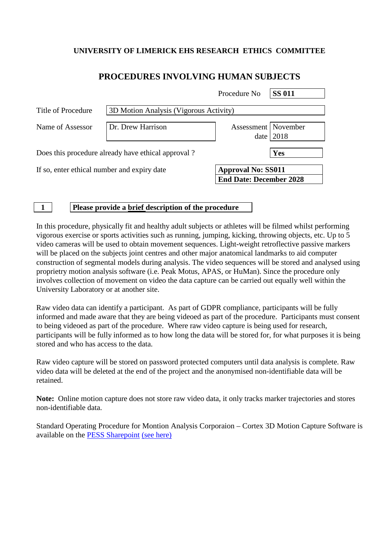## **UNIVERSITY OF LIMERICK EHS RESEARCH ETHICS COMMITTEE**

## **PROCEDURES INVOLVING HUMAN SUBJECTS**

|                                                    |                                        | Procedure No                  | <b>SS 011</b>                                               |  |
|----------------------------------------------------|----------------------------------------|-------------------------------|-------------------------------------------------------------|--|
| Title of Procedure                                 | 3D Motion Analysis (Vigorous Activity) |                               |                                                             |  |
| Name of Assessor                                   | Dr. Drew Harrison                      | Assessment   November<br>date | 2018                                                        |  |
| Does this procedure already have ethical approval? |                                        |                               | Yes                                                         |  |
| If so, enter ethical number and expiry date        |                                        |                               | <b>Approval No: SS011</b><br><b>End Date: December 2028</b> |  |

**1 Please provide a brief description of the procedure**

In this procedure, physically fit and healthy adult subjects or athletes will be filmed whilst performing vigorous exercise or sports activities such as running, jumping, kicking, throwing objects, etc. Up to 5 video cameras will be used to obtain movement sequences. Light-weight retroflective passive markers will be placed on the subjects joint centres and other major anatomical landmarks to aid computer construction of segmental models during analysis. The video sequences will be stored and analysed using proprietry motion analysis software (i.e. Peak Motus, APAS, or HuMan). Since the procedure only involves collection of movement on video the data capture can be carried out equally well within the University Laboratory or at another site.

Raw video data can identify a participant. As part of GDPR compliance, participants will be fully informed and made aware that they are being videoed as part of the procedure. Participants must consent to being videoed as part of the procedure. Where raw video capture is being used for research, participants will be fully informed as to how long the data will be stored for, for what purposes it is being stored and who has access to the data.

Raw video capture will be stored on password protected computers until data analysis is complete. Raw video data will be deleted at the end of the project and the anonymised non-identifiable data will be retained.

**Note:** Online motion capture does not store raw video data, it only tracks marker trajectories and stores non-identifiable data.

Standard Operating Procedure for Montion Analysis Corporaion – Cortex 3D Motion Capture Software is available on the [PESS Sharepoint](https://sharepoint.ul.ie/SiteDirectory/PESS/Health%20and%20Safety1/Standard%20Operating%20Procedures%20(SOPs)/Biomechanics%20Lab%20SOPs/MAC%203D_SOP%20v3.pdf) [\(see here\)](https://sharepoint.ul.ie/SiteDirectory/PESS/Health%20and%20Safety1/Standard%20Operating%20Procedures%20(SOPs)/Biomechanics%20Lab%20SOPs/MAC%203D_SOP%20v3.pdf)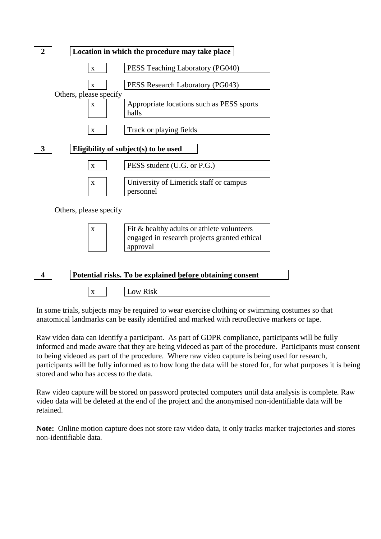

In some trials, subjects may be required to wear exercise clothing or swimming costumes so that anatomical landmarks can be easily identified and marked with retroflective markers or tape.

Raw video data can identify a participant. As part of GDPR compliance, participants will be fully informed and made aware that they are being videoed as part of the procedure. Participants must consent to being videoed as part of the procedure. Where raw video capture is being used for research, participants will be fully informed as to how long the data will be stored for, for what purposes it is being stored and who has access to the data.

Raw video capture will be stored on password protected computers until data analysis is complete. Raw video data will be deleted at the end of the project and the anonymised non-identifiable data will be retained.

**Note:** Online motion capture does not store raw video data, it only tracks marker trajectories and stores non-identifiable data.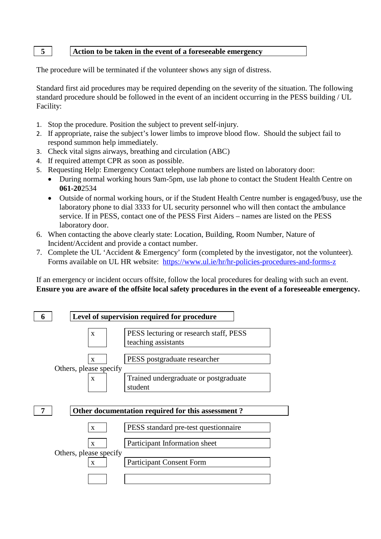## **5 Action to be taken in the event of a foreseeable emergency**

The procedure will be terminated if the volunteer shows any sign of distress.

Standard first aid procedures may be required depending on the severity of the situation. The following standard procedure should be followed in the event of an incident occurring in the PESS building / UL Facility:

- 1. Stop the procedure. Position the subject to prevent self-injury.
- 2. If appropriate, raise the subject's lower limbs to improve blood flow. Should the subject fail to respond summon help immediately.
- 3. Check vital signs airways, breathing and circulation (ABC)
- 4. If required attempt CPR as soon as possible.
- 5. Requesting Help: Emergency Contact telephone numbers are listed on laboratory door:
	- During normal working hours 9am-5pm, use lab phone to contact the Student Health Centre on **061-20**2534
	- Outside of normal working hours, or if the Student Health Centre number is engaged/busy, use the laboratory phone to dial 3333 for UL security personnel who will then contact the ambulance service. If in PESS, contact one of the PESS First Aiders – names are listed on the PESS laboratory door.
- 6. When contacting the above clearly state: Location, Building, Room Number, Nature of Incident/Accident and provide a contact number.
- 7. Complete the UL 'Accident & Emergency' form (completed by the investigator, not the volunteer). Forms available on UL HR website: <https://www.ul.ie/hr/hr-policies-procedures-and-forms-z>

If an emergency or incident occurs offsite, follow the local procedures for dealing with such an event. **Ensure you are aware of the offsite local safety procedures in the event of a foreseeable emergency.**